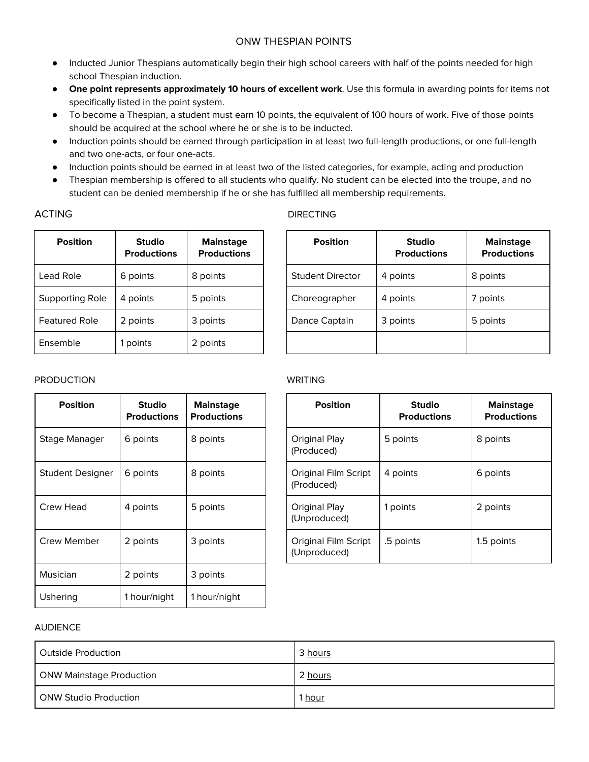- Inducted Junior Thespians automatically begin their high school careers with half of the points needed for high school Thespian induction.
- **One point represents approximately 10 hours of excellent work**. Use this formula in awarding points for items not specifically listed in the point system.
- To become a Thespian, a student must earn 10 points, the equivalent of 100 hours of work. Five of those points should be acquired at the school where he or she is to be inducted.
- Induction points should be earned through participation in at least two full-length productions, or one full-length and two one-acts, or four one-acts.
- Induction points should be earned in at least two of the listed categories, for example, acting and production
- Thespian membership is offered to all students who qualify. No student can be elected into the troupe, and no student can be denied membership if he or she has fulfilled all membership requirements.

### ACTING DIRECTING

| <b>Position</b>      | <b>Studio</b><br><b>Productions</b> | <b>Mainstage</b><br><b>Productions</b> | <b>Position</b>         | <b>Studio</b><br><b>Productions</b> | <b>Main</b><br>Produ |
|----------------------|-------------------------------------|----------------------------------------|-------------------------|-------------------------------------|----------------------|
| Lead Role            | 6 points                            | 8 points                               | <b>Student Director</b> | 4 points                            | 8 points             |
| Supporting Role      | 4 points                            | 5 points                               | Choreographer           | 4 points                            | 7 points             |
| <b>Featured Role</b> | 2 points                            | 3 points                               | Dance Captain           | 3 points                            | 5 points             |
| Ensemble             | points                              | 2 points                               |                         |                                     |                      |

| <b>Position</b>         | <b>Studio</b><br><b>Productions</b> | <b>Mainstage</b><br><b>Productions</b> |
|-------------------------|-------------------------------------|----------------------------------------|
| <b>Student Director</b> | 4 points                            | 8 points                               |
| Choreographer           | 4 points                            | 7 points                               |
| Dance Captain           | 3 points                            | 5 points                               |
|                         |                                     |                                        |

## PRODUCTION WRITING

| <b>Position</b>  | <b>Studio</b><br><b>Productions</b> | <b>Mainstage</b><br><b>Productions</b> | <b>Position</b>                             |
|------------------|-------------------------------------|----------------------------------------|---------------------------------------------|
| Stage Manager    | 6 points                            | 8 points                               | Original Play<br>(Produced)                 |
| Student Designer | 6 points                            | 8 points                               | Original Film Script<br>(Produced)          |
| Crew Head        | 4 points                            | 5 points                               | Original Play<br>(Unproduced)               |
| Crew Member      | 2 points                            | 3 points                               | <b>Original Film Script</b><br>(Unproduced) |
| <b>Musician</b>  | 2 points                            | 3 points                               |                                             |
| Ushering         | 1 hour/night                        | 1 hour/night                           |                                             |

| <b>Position</b>                           | <b>Studio</b><br><b>Productions</b> | <b>Mainstage</b><br><b>Productions</b> |
|-------------------------------------------|-------------------------------------|----------------------------------------|
| Original Play<br>(Produced)               | 5 points                            | 8 points                               |
| <b>Original Film Script</b><br>(Produced) | 4 points                            | 6 points                               |
| Original Play<br>(Unproduced)             | 1 points                            | 2 points                               |
| Original Film Script<br>(Unproduced)      | .5 points                           | 1.5 points                             |

### AUDIENCE

| Outside Production              | 3 hours       |
|---------------------------------|---------------|
| <b>ONW Mainstage Production</b> | 2 hours       |
| <b>ONW Studio Production</b>    | l <u>hour</u> |